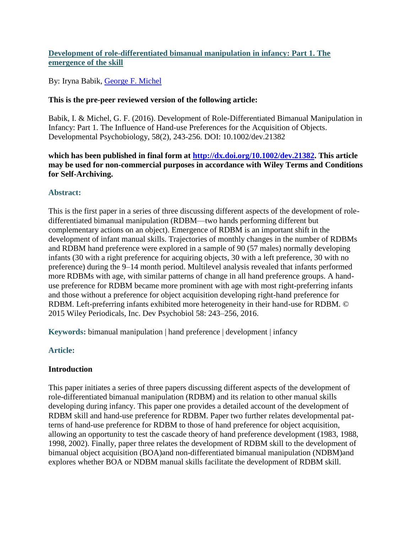# **Development of role-differentiated bimanual manipulation in infancy: Part 1. The emergence of the skill**

By: Iryna Babik, [George F. Michel](http://libres.uncg.edu/ir/clist.aspx?id=446)

## **This is the pre-peer reviewed version of the following article:**

Babik, I. & Michel, G. F. (2016). Development of Role-Differentiated Bimanual Manipulation in Infancy: Part 1. The Influence of Hand-use Preferences for the Acquisition of Objects. Developmental Psychobiology, 58(2), 243-256. DOI: 10.1002/dev.21382

## **which has been published in final form at [http://dx.doi.org/10.1002/dev.21382.](http://dx.doi.org/10.1002/dev.21382) This article may be used for non-commercial purposes in accordance with Wiley Terms and Conditions for Self-Archiving.**

# **Abstract:**

This is the first paper in a series of three discussing different aspects of the development of roledifferentiated bimanual manipulation (RDBM—two hands performing different but complementary actions on an object). Emergence of RDBM is an important shift in the development of infant manual skills. Trajectories of monthly changes in the number of RDBMs and RDBM hand preference were explored in a sample of 90 (57 males) normally developing infants (30 with a right preference for acquiring objects, 30 with a left preference, 30 with no preference) during the 9–14 month period. Multilevel analysis revealed that infants performed more RDBMs with age, with similar patterns of change in all hand preference groups. A handuse preference for RDBM became more prominent with age with most right-preferring infants and those without a preference for object acquisition developing right-hand preference for RDBM. Left-preferring infants exhibited more heterogeneity in their hand-use for RDBM. © 2015 Wiley Periodicals, Inc. Dev Psychobiol 58: 243–256, 2016.

**Keywords:** bimanual manipulation | hand preference | development | infancy

# **Article:**

## **Introduction**

This paper initiates a series of three papers discussing different aspects of the development of role-differentiated bimanual manipulation (RDBM) and its relation to other manual skills developing during infancy. This paper one provides a detailed account of the development of RDBM skill and hand-use preference for RDBM. Paper two further relates developmental patterns of hand-use preference for RDBM to those of hand preference for object acquisition, allowing an opportunity to test the cascade theory of hand preference development (1983, 1988, 1998, 2002). Finally, paper three relates the development of RDBM skill to the development of bimanual object acquisition (BOA)and non-differentiated bimanual manipulation (NDBM)and explores whether BOA or NDBM manual skills facilitate the development of RDBM skill.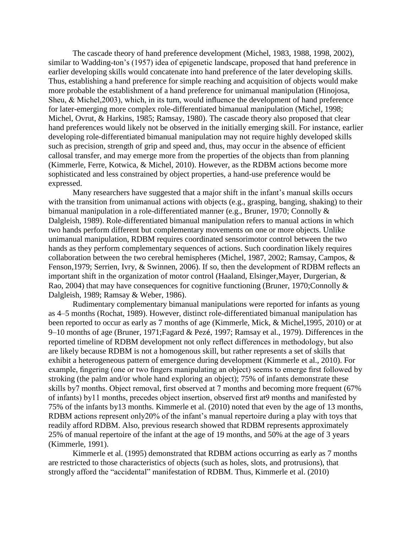The cascade theory of hand preference development (Michel, 1983, 1988, 1998, 2002), similar to Wadding-ton's (1957) idea of epigenetic landscape, proposed that hand preference in earlier developing skills would concatenate into hand preference of the later developing skills. Thus, establishing a hand preference for simple reaching and acquisition of objects would make more probable the establishment of a hand preference for unimanual manipulation (Hinojosa, Sheu, & Michel,2003), which, in its turn, would influence the development of hand preference for later-emerging more complex role-differentiated bimanual manipulation (Michel, 1998; Michel, Ovrut, & Harkins, 1985; Ramsay, 1980). The cascade theory also proposed that clear hand preferences would likely not be observed in the initially emerging skill. For instance, earlier developing role-differentiated bimanual manipulation may not require highly developed skills such as precision, strength of grip and speed and, thus, may occur in the absence of efficient callosal transfer, and may emerge more from the properties of the objects than from planning (Kimmerle, Ferre, Kotwica, & Michel, 2010). However, as the RDBM actions become more sophisticated and less constrained by object properties, a hand-use preference would be expressed.

Many researchers have suggested that a major shift in the infant's manual skills occurs with the transition from unimanual actions with objects (e.g., grasping, banging, shaking) to their bimanual manipulation in a role-differentiated manner (e.g., Bruner, 1970; Connolly & Dalgleish, 1989). Role-differentiated bimanual manipulation refers to manual actions in which two hands perform different but complementary movements on one or more objects. Unlike unimanual manipulation, RDBM requires coordinated sensorimotor control between the two hands as they perform complementary sequences of actions. Such coordination likely requires collaboration between the two cerebral hemispheres (Michel, 1987, 2002; Ramsay, Campos, & Fenson, 1979; Serrien, Ivry, & Swinnen, 2006). If so, then the development of RDBM reflects an important shift in the organization of motor control (Haaland, Elsinger,Mayer, Durgerian, & Rao, 2004) that may have consequences for cognitive functioning (Bruner, 1970;Connolly & Dalgleish, 1989; Ramsay & Weber, 1986).

Rudimentary complementary bimanual manipulations were reported for infants as young as 4–5 months (Rochat, 1989). However, distinct role-differentiated bimanual manipulation has been reported to occur as early as 7 months of age (Kimmerle, Mick, & Michel,1995, 2010) or at 9–10 months of age (Bruner, 1971;Fagard & Pezé, 1997; Ramsay et al., 1979). Differences in the reported timeline of RDBM development not only reflect differences in methodology, but also are likely because RDBM is not a homogenous skill, but rather represents a set of skills that exhibit a heterogeneous pattern of emergence during development (Kimmerle et al., 2010). For example, fingering (one or two fingers manipulating an object) seems to emerge first followed by stroking (the palm and/or whole hand exploring an object); 75% of infants demonstrate these skills by7 months. Object removal, first observed at 7 months and becoming more frequent (67% of infants) by11 months, precedes object insertion, observed first at9 months and manifested by 75% of the infants by13 months. Kimmerle et al. (2010) noted that even by the age of 13 months, RDBM actions represent only20% of the infant's manual repertoire during a play with toys that readily afford RDBM. Also, previous research showed that RDBM represents approximately 25% of manual repertoire of the infant at the age of 19 months, and 50% at the age of 3 years (Kimmerle, 1991).

Kimmerle et al. (1995) demonstrated that RDBM actions occurring as early as 7 months are restricted to those characteristics of objects (such as holes, slots, and protrusions), that strongly afford the "accidental" manifestation of RDBM. Thus, Kimmerle et al. (2010)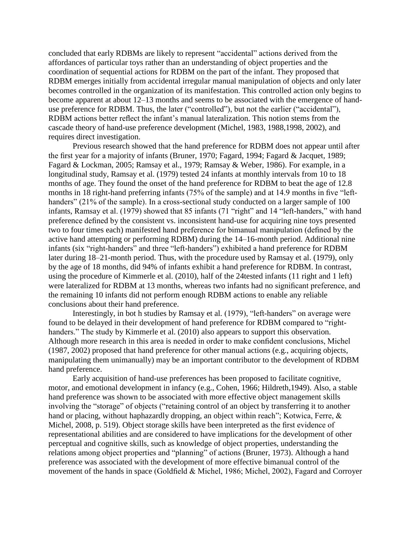concluded that early RDBMs are likely to represent "accidental" actions derived from the affordances of particular toys rather than an understanding of object properties and the coordination of sequential actions for RDBM on the part of the infant. They proposed that RDBM emerges initially from accidental irregular manual manipulation of objects and only later becomes controlled in the organization of its manifestation. This controlled action only begins to become apparent at about 12–13 months and seems to be associated with the emergence of handuse preference for RDBM. Thus, the later ("controlled"), but not the earlier ("accidental"), RDBM actions better reflect the infant's manual lateralization. This notion stems from the cascade theory of hand-use preference development (Michel, 1983, 1988,1998, 2002), and requires direct investigation.

Previous research showed that the hand preference for RDBM does not appear until after the first year for a majority of infants (Bruner, 1970; Fagard, 1994; Fagard & Jacquet, 1989; Fagard & Lockman, 2005; Ramsay et al., 1979; Ramsay & Weber, 1986). For example, in a longitudinal study, Ramsay et al. (1979) tested 24 infants at monthly intervals from 10 to 18 months of age. They found the onset of the hand preference for RDBM to beat the age of 12.8 months in 18 right-hand preferring infants (75% of the sample) and at 14.9 months in five "lefthanders" (21% of the sample). In a cross-sectional study conducted on a larger sample of 100 infants, Ramsay et al. (1979) showed that 85 infants (71 "right" and 14 "left-handers," with hand preference defined by the consistent vs. inconsistent hand-use for acquiring nine toys presented two to four times each) manifested hand preference for bimanual manipulation (defined by the active hand attempting or performing RDBM) during the 14–16-month period. Additional nine infants (six "right-handers" and three "left-handers") exhibited a hand preference for RDBM later during 18–21-month period. Thus, with the procedure used by Ramsay et al. (1979), only by the age of 18 months, did 94% of infants exhibit a hand preference for RDBM. In contrast, using the procedure of Kimmerle et al. (2010), half of the 24tested infants (11 right and 1 left) were lateralized for RDBM at 13 months, whereas two infants had no significant preference, and the remaining 10 infants did not perform enough RDBM actions to enable any reliable conclusions about their hand preference.

Interestingly, in bot h studies by Ramsay et al. (1979), "left-handers" on average were found to be delayed in their development of hand preference for RDBM compared to "righthanders." The study by Kimmerle et al. (2010) also appears to support this observation. Although more research in this area is needed in order to make confident conclusions, Michel (1987, 2002) proposed that hand preference for other manual actions (e.g., acquiring objects, manipulating them unimanually) may be an important contributor to the development of RDBM hand preference.

Early acquisition of hand-use preferences has been proposed to facilitate cognitive, motor, and emotional development in infancy (e.g., Cohen, 1966; Hildreth,1949). Also, a stable hand preference was shown to be associated with more effective object management skills involving the "storage" of objects ("retaining control of an object by transferring it to another hand or placing, without haphazardly dropping, an object within reach"; Kotwica, Ferre, & Michel, 2008, p. 519). Object storage skills have been interpreted as the first evidence of representational abilities and are considered to have implications for the development of other perceptual and cognitive skills, such as knowledge of object properties, understanding the relations among object properties and "planning" of actions (Bruner, 1973). Although a hand preference was associated with the development of more effective bimanual control of the movement of the hands in space (Goldfield & Michel, 1986; Michel, 2002), Fagard and Corroyer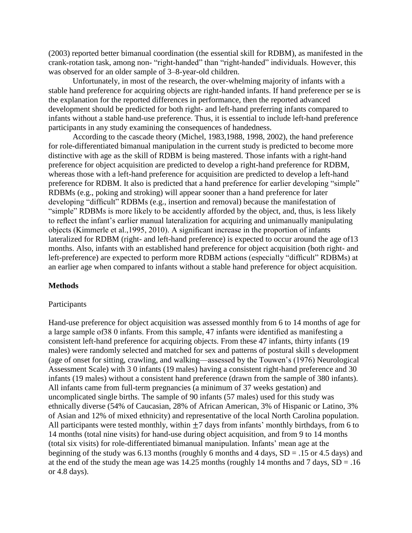(2003) reported better bimanual coordination (the essential skill for RDBM), as manifested in the crank-rotation task, among non- "right-handed" than "right-handed" individuals. However, this was observed for an older sample of 3–8-year-old children.

Unfortunately, in most of the research, the over-whelming majority of infants with a stable hand preference for acquiring objects are right-handed infants. If hand preference per se is the explanation for the reported differences in performance, then the reported advanced development should be predicted for both right- and left-hand preferring infants compared to infants without a stable hand-use preference. Thus, it is essential to include left-hand preference participants in any study examining the consequences of handedness.

According to the cascade theory (Michel, 1983,1988, 1998, 2002), the hand preference for role-differentiated bimanual manipulation in the current study is predicted to become more distinctive with age as the skill of RDBM is being mastered. Those infants with a right-hand preference for object acquisition are predicted to develop a right-hand preference for RDBM, whereas those with a left-hand preference for acquisition are predicted to develop a left-hand preference for RDBM. It also is predicted that a hand preference for earlier developing "simple" RDBMs (e.g., poking and stroking) will appear sooner than a hand preference for later developing "difficult" RDBMs (e.g., insertion and removal) because the manifestation of "simple" RDBMs is more likely to be accidently afforded by the object, and, thus, is less likely to reflect the infant's earlier manual lateralization for acquiring and unimanually manipulating objects (Kimmerle et al.,1995, 2010). A significant increase in the proportion of infants lateralized for RDBM (right- and left-hand preference) is expected to occur around the age of13 months. Also, infants with an established hand preference for object acquisition (both right- and left-preference) are expected to perform more RDBM actions (especially "difficult" RDBMs) at an earlier age when compared to infants without a stable hand preference for object acquisition.

### **Methods**

#### Participants

Hand-use preference for object acquisition was assessed monthly from 6 to 14 months of age for a large sample of38 0 infants. From this sample, 47 infants were identified as manifesting a consistent left-hand preference for acquiring objects. From these 47 infants, thirty infants (19 males) were randomly selected and matched for sex and patterns of postural skill s development (age of onset for sitting, crawling, and walking—assessed by the Touwen's (1976) Neurological Assessment Scale) with 3 0 infants (19 males) having a consistent right-hand preference and 30 infants (19 males) without a consistent hand preference (drawn from the sample of 380 infants). All infants came from full-term pregnancies (a minimum of 37 weeks gestation) and uncomplicated single births. The sample of 90 infants (57 males) used for this study was ethnically diverse (54% of Caucasian, 28% of African American, 3% of Hispanic or Latino, 3% of Asian and 12% of mixed ethnicity) and representative of the local North Carolina population. All participants were tested monthly, within  $\pm$ 7 days from infants' monthly birthdays, from 6 to 14 months (total nine visits) for hand-use during object acquisition, and from 9 to 14 months (total six visits) for role-differentiated bimanual manipulation. Infants' mean age at the beginning of the study was 6.13 months (roughly 6 months and 4 days,  $SD = .15$  or 4.5 days) and at the end of the study the mean age was  $14.25$  months (roughly 14 months and 7 days,  $SD = .16$ ) or 4.8 days).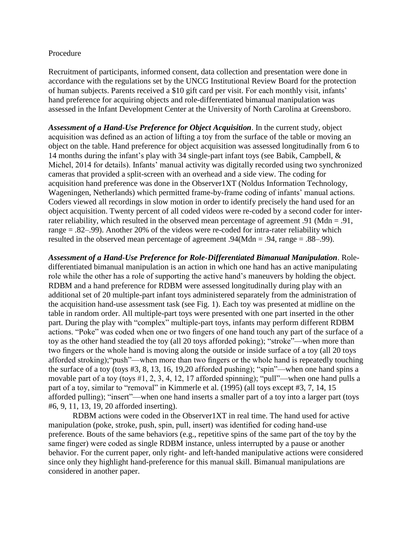### Procedure

Recruitment of participants, informed consent, data collection and presentation were done in accordance with the regulations set by the UNCG Institutional Review Board for the protection of human subjects. Parents received a \$10 gift card per visit. For each monthly visit, infants' hand preference for acquiring objects and role-differentiated bimanual manipulation was assessed in the Infant Development Center at the University of North Carolina at Greensboro.

*Assessment of a Hand-Use Preference for Object Acquisition*. In the current study, object acquisition was defined as an action of lifting a toy from the surface of the table or moving an object on the table. Hand preference for object acquisition was assessed longitudinally from 6 to 14 months during the infant's play with 34 single-part infant toys (see Babik, Campbell, & Michel, 2014 for details). Infants' manual activity was digitally recorded using two synchronized cameras that provided a split-screen with an overhead and a side view. The coding for acquisition hand preference was done in the Observer1XT (Noldus Information Technology, Wageningen, Netherlands) which permitted frame-by-frame coding of infants' manual actions. Coders viewed all recordings in slow motion in order to identify precisely the hand used for an object acquisition. Twenty percent of all coded videos were re-coded by a second coder for interrater reliability, which resulted in the observed mean percentage of agreement .91 (Mdn = .91, range = .82–.99). Another 20% of the videos were re-coded for intra-rater reliability which resulted in the observed mean percentage of agreement .94(Mdn = .94, range = .88–.99).

*Assessment of a Hand-Use Preference for Role-Differentiated Bimanual Manipulation*. Roledifferentiated bimanual manipulation is an action in which one hand has an active manipulating role while the other has a role of supporting the active hand's maneuvers by holding the object. RDBM and a hand preference for RDBM were assessed longitudinally during play with an additional set of 20 multiple-part infant toys administered separately from the administration of the acquisition hand-use assessment task (see Fig. 1). Each toy was presented at midline on the table in random order. All multiple-part toys were presented with one part inserted in the other part. During the play with "complex" multiple-part toys, infants may perform different RDBM actions. "Poke" was coded when one or two fingers of one hand touch any part of the surface of a toy as the other hand steadied the toy (all 20 toys afforded poking); "stroke"—when more than two fingers or the whole hand is moving along the outside or inside surface of a toy (all 20 toys afforded stroking);"push"—when more than two fingers or the whole hand is repeatedly touching the surface of a toy (toys #3, 8, 13, 16, 19,20 afforded pushing); "spin"—when one hand spins a movable part of a toy (toys #1, 2, 3, 4, 12, 17 afforded spinning); "pull"—when one hand pulls a part of a toy, similar to "removal" in Kimmerle et al. (1995) (all toys except #3, 7, 14, 15 afforded pulling); "insert"—when one hand inserts a smaller part of a toy into a larger part (toys #6, 9, 11, 13, 19, 20 afforded inserting).

RDBM actions were coded in the Observer1XT in real time. The hand used for active manipulation (poke, stroke, push, spin, pull, insert) was identified for coding hand-use preference. Bouts of the same behaviors (e.g., repetitive spins of the same part of the toy by the same finger) were coded as single RDBM instance, unless interrupted by a pause or another behavior. For the current paper, only right- and left-handed manipulative actions were considered since only they highlight hand-preference for this manual skill. Bimanual manipulations are considered in another paper.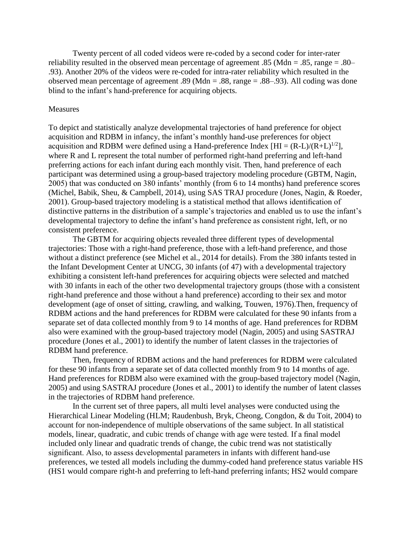Twenty percent of all coded videos were re-coded by a second coder for inter-rater reliability resulted in the observed mean percentage of agreement .85 (Mdn = .85, range = .80– .93). Another 20% of the videos were re-coded for intra-rater reliability which resulted in the observed mean percentage of agreement .89 (Mdn = .88, range = .88–.93). All coding was done blind to the infant's hand-preference for acquiring objects.

#### **Measures**

To depict and statistically analyze developmental trajectories of hand preference for object acquisition and RDBM in infancy, the infant's monthly hand-use preferences for object acquisition and RDBM were defined using a Hand-preference Index  $[HI = (R-L)/(R+L)^{1/2}]$ , where R and L represent the total number of performed right-hand preferring and left-hand preferring actions for each infant during each monthly visit. Then, hand preference of each participant was determined using a group-based trajectory modeling procedure (GBTM, Nagin, 2005) that was conducted on 380 infants' monthly (from 6 to 14 months) hand preference scores (Michel, Babik, Sheu, & Campbell, 2014), using SAS TRAJ procedure (Jones, Nagin, & Roeder, 2001). Group-based trajectory modeling is a statistical method that allows identification of distinctive patterns in the distribution of a sample's trajectories and enabled us to use the infant's developmental trajectory to define the infant's hand preference as consistent right, left, or no consistent preference.

The GBTM for acquiring objects revealed three different types of developmental trajectories: Those with a right-hand preference, those with a left-hand preference, and those without a distinct preference (see Michel et al., 2014 for details). From the 380 infants tested in the Infant Development Center at UNCG, 30 infants (of 47) with a developmental trajectory exhibiting a consistent left-hand preferences for acquiring objects were selected and matched with 30 infants in each of the other two developmental trajectory groups (those with a consistent right-hand preference and those without a hand preference) according to their sex and motor development (age of onset of sitting, crawling, and walking, Touwen, 1976).Then, frequency of RDBM actions and the hand preferences for RDBM were calculated for these 90 infants from a separate set of data collected monthly from 9 to 14 months of age. Hand preferences for RDBM also were examined with the group-based trajectory model (Nagin, 2005) and using SASTRAJ procedure (Jones et al., 2001) to identify the number of latent classes in the trajectories of RDBM hand preference.

Then, frequency of RDBM actions and the hand preferences for RDBM were calculated for these 90 infants from a separate set of data collected monthly from 9 to 14 months of age. Hand preferences for RDBM also were examined with the group-based trajectory model (Nagin, 2005) and using SASTRAJ procedure (Jones et al., 2001) to identify the number of latent classes in the trajectories of RDBM hand preference.

In the current set of three papers, all multi level analyses were conducted using the Hierarchical Linear Modeling (HLM; Raudenbush, Bryk, Cheong, Congdon, & du Toit, 2004) to account for non-independence of multiple observations of the same subject. In all statistical models, linear, quadratic, and cubic trends of change with age were tested. If a final model included only linear and quadratic trends of change, the cubic trend was not statistically significant. Also, to assess developmental parameters in infants with different hand-use preferences, we tested all models including the dummy-coded hand preference status variable HS (HS1 would compare right-h and preferring to left-hand preferring infants; HS2 would compare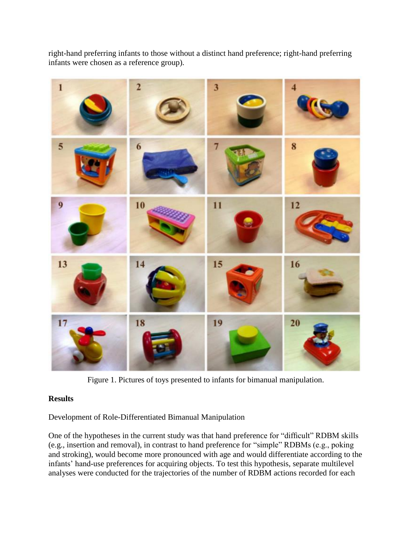right-hand preferring infants to those without a distinct hand preference; right-hand preferring infants were chosen as a reference group).



Figure 1. Pictures of toys presented to infants for bimanual manipulation.

## **Results**

Development of Role-Differentiated Bimanual Manipulation

One of the hypotheses in the current study was that hand preference for "difficult" RDBM skills (e.g., insertion and removal), in contrast to hand preference for "simple" RDBMs (e.g., poking and stroking), would become more pronounced with age and would differentiate according to the infants' hand-use preferences for acquiring objects. To test this hypothesis, separate multilevel analyses were conducted for the trajectories of the number of RDBM actions recorded for each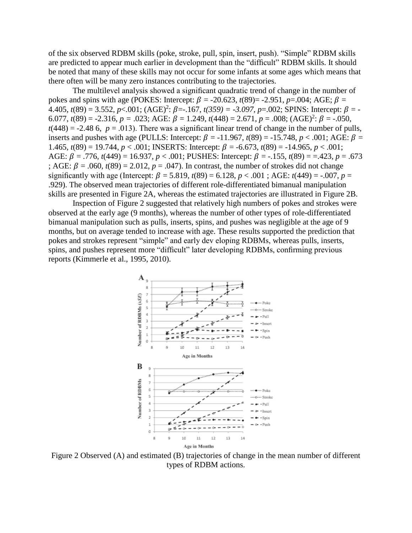of the six observed RDBM skills (poke, stroke, pull, spin, insert, push). "Simple" RDBM skills are predicted to appear much earlier in development than the "difficult" RDBM skills. It should be noted that many of these skills may not occur for some infants at some ages which means that there often will be many zero instances contributing to the trajectories.

The multilevel analysis showed a significant quadratic trend of change in the number of pokes and spins with age (POKES: Intercept:  $\beta$  = -20.623,  $t(89)$ = -2.951,  $p$ =.004; AGE;  $\beta$  =  $4.405, t(89) = 3.552, p < .001$ ;  $(AGE)^2: \beta = .167, t(359) = .3.097, p = .002$ ; SPINS: Intercept:  $\beta = -$ 6.077,  $t(89) = -2.316$ ,  $p = .023$ ; AGE:  $\beta = 1.249$ ,  $t(448) = 2.671$ ,  $p = .008$ ;  $(AGE)^2$ :  $\beta = -.050$ ,  $t(448) = -2.48$  6,  $p = .013$ ). There was a significant linear trend of change in the number of pulls, inserts and pushes with age (PULLS: Intercept:  $\beta$  = -11.967, *t*(89) = -15.748, *p* < .001; AGE:  $\beta$  = 1.465,  $t(89) = 19.744$ ,  $p < .001$ ; INSERTS: Intercept:  $\beta = -6.673$ ,  $t(89) = -14.965$ ,  $p < .001$ ; AGE:  $\beta$  = .776, *t*(449) = 16.937, *p* < .001; PUSHES: Intercept:  $\beta$  = -.155, *t*(89) = =.423, *p* = .673 ; AGE:  $\beta = .060$ ,  $t(89) = 2.012$ ,  $p = .047$ ). In contrast, the number of strokes did not change significantly with age (Intercept:  $\beta = 5.819$ ,  $t(89) = 6.128$ ,  $p < .001$ ; AGE:  $t(449) = -.007$ ,  $p =$ .929). The observed mean trajectories of different role-differentiated bimanual manipulation skills are presented in Figure 2A, whereas the estimated trajectories are illustrated in Figure 2B.

Inspection of Figure 2 suggested that relatively high numbers of pokes and strokes were observed at the early age (9 months), whereas the number of other types of role-differentiated bimanual manipulation such as pulls, inserts, spins, and pushes was negligible at the age of 9 months, but on average tended to increase with age. These results supported the prediction that pokes and strokes represent "simple" and early dev eloping RDBMs, whereas pulls, inserts, spins, and pushes represent more "difficult" later developing RDBMs, confirming previous reports (Kimmerle et al., 1995, 2010).



Figure 2 Observed (A) and estimated (B) trajectories of change in the mean number of different types of RDBM actions.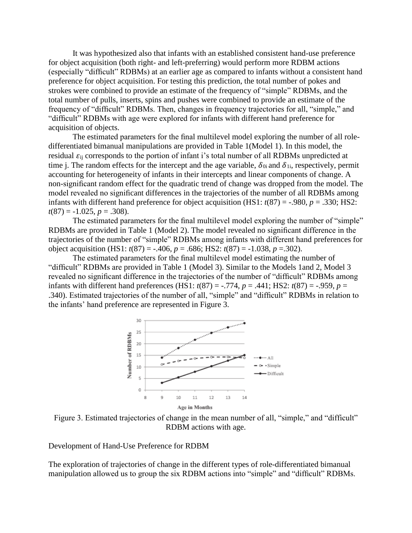It was hypothesized also that infants with an established consistent hand-use preference for object acquisition (both right- and left-preferring) would perform more RDBM actions (especially "difficult" RDBMs) at an earlier age as compared to infants without a consistent hand preference for object acquisition. For testing this prediction, the total number of pokes and strokes were combined to provide an estimate of the frequency of "simple" RDBMs, and the total number of pulls, inserts, spins and pushes were combined to provide an estimate of the frequency of "difficult" RDBMs. Then, changes in frequency trajectories for all, "simple," and "difficult" RDBMs with age were explored for infants with different hand preference for acquisition of objects.

The estimated parameters for the final multilevel model exploring the number of all roledifferentiated bimanual manipulations are provided in Table 1(Model 1). In this model, the residual  $\varepsilon_{ii}$  corresponds to the portion of infant i's total number of all RDBMs unpredicted at time j. The random effects for the intercept and the age variable,  $\delta_{0i}$  and  $\delta_{1i}$ , respectively, permit accounting for heterogeneity of infants in their intercepts and linear components of change. A non-significant random effect for the quadratic trend of change was dropped from the model. The model revealed no significant differences in the trajectories of the number of all RDBMs among infants with different hand preference for object acquisition (HS1:  $t(87) = -.980$ ,  $p = .330$ ; HS2:  $t(87) = -1.025, p = .308$ .

The estimated parameters for the final multilevel model exploring the number of "simple" RDBMs are provided in Table 1 (Model 2). The model revealed no significant difference in the trajectories of the number of "simple" RDBMs among infants with different hand preferences for object acquisition (HS1:  $t(87) = -.406$ ,  $p = .686$ ; HS2:  $t(87) = -1.038$ ,  $p = .302$ ).

The estimated parameters for the final multilevel model estimating the number of "difficult" RDBMs are provided in Table 1 (Model 3). Similar to the Models 1and 2, Model 3 revealed no significant difference in the trajectories of the number of "difficult" RDBMs among infants with different hand preferences (HS1:  $t(87) = -.774$ ,  $p = .441$ ; HS2:  $t(87) = -.959$ ,  $p =$ .340). Estimated trajectories of the number of all, "simple" and "difficult" RDBMs in relation to the infants' hand preference are represented in Figure 3.



Figure 3. Estimated trajectories of change in the mean number of all, "simple," and "difficult" RDBM actions with age.

Development of Hand-Use Preference for RDBM

The exploration of trajectories of change in the different types of role-differentiated bimanual manipulation allowed us to group the six RDBM actions into "simple" and "difficult" RDBMs.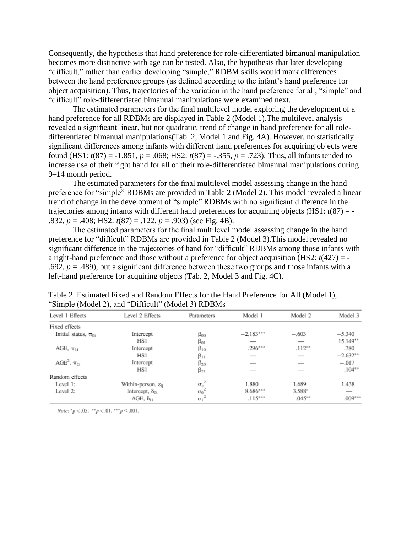Consequently, the hypothesis that hand preference for role-differentiated bimanual manipulation becomes more distinctive with age can be tested. Also, the hypothesis that later developing "difficult," rather than earlier developing "simple," RDBM skills would mark differences between the hand preference groups (as defined according to the infant's hand preference for object acquisition). Thus, trajectories of the variation in the hand preference for all, "simple" and "difficult" role-differentiated bimanual manipulations were examined next.

The estimated parameters for the final multilevel model exploring the development of a hand preference for all RDBMs are displayed in Table 2 (Model 1).The multilevel analysis revealed a significant linear, but not quadratic, trend of change in hand preference for all roledifferentiated bimanual manipulations(Tab. 2, Model 1 and Fig. 4A). However, no statistically significant differences among infants with different hand preferences for acquiring objects were found (HS1:  $t(87) = -1.851$ ,  $p = .068$ ; HS2:  $t(87) = -.355$ ,  $p = .723$ ). Thus, all infants tended to increase use of their right hand for all of their role-differentiated bimanual manipulations during 9–14 month period.

The estimated parameters for the final multilevel model assessing change in the hand preference for "simple" RDBMs are provided in Table 2 (Model 2). This model revealed a linear trend of change in the development of "simple" RDBMs with no significant difference in the trajectories among infants with different hand preferences for acquiring objects  $(HS1: t(87) = -$ .832, *p* = .408; HS2: *t*(87) = .122, *p* = .903) (see Fig. 4B).

The estimated parameters for the final multilevel model assessing change in the hand preference for "difficult" RDBMs are provided in Table 2 (Model 3).This model revealed no significant difference in the trajectories of hand for "difficult" RDBMs among those infants with a right-hand preference and those without a preference for object acquisition (HS2: *t*(427) = - .692,  $p = .489$ ), but a significant difference between these two groups and those infants with a left-hand preference for acquiring objects (Tab. 2, Model 3 and Fig. 4C).

| Level 1 Effects               | Level 2 Effects                   | Parameters            | Model 1     | Model 2  | Model 3    |
|-------------------------------|-----------------------------------|-----------------------|-------------|----------|------------|
| Fixed effects                 |                                   |                       |             |          |            |
| Initial status, $\pi_{0i}$    | Intercept                         | $\beta_{00}$          | $-2.183***$ | $-.603$  | $-5.340$   |
|                               | HS1                               | $\beta_{01}$          |             | __       | $15.149**$ |
| AGE, $\pi_{1i}$               | Intercept                         | $\beta_{10}$          | $.296***$   | $.112**$ | .780       |
|                               | HSI                               | $\beta_{11}$          |             |          | $-2.632**$ |
| AGE <sup>2</sup> , $\pi_{2i}$ | Intercept                         | $\beta_{20}$          |             | _        | $-.017$    |
|                               | HSI                               | $\beta_{21}$          |             |          | $.104**$   |
| Random effects                |                                   |                       |             |          |            |
| Level 1:                      | Within-person, $\varepsilon_{ii}$ | $\sigma_{\epsilon}^2$ | 1.880       | 1.689    | 1.438      |
| Level 2:                      | Intercept, $\delta_{0i}$          | $\sigma_0$            | $8.686***$  | 3.588*   |            |
|                               | AGE, $\delta_{1i}$                | $\sigma_1$            | $.115***$   | $.045**$ | $.009***$  |

Table 2. Estimated Fixed and Random Effects for the Hand Preference for All (Model 1), "Simple (Model 2), and "Difficult" (Model 3) RDBMs

*Note:*  $^*p < .05$ .  $^{**}p < .01$ .  $^{***}p \le .001$ .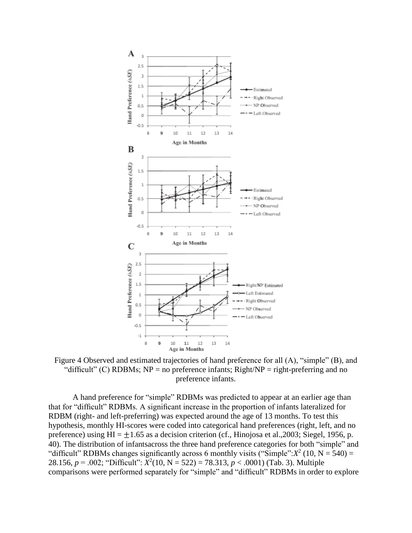

Figure 4 Observed and estimated trajectories of hand preference for all (A), "simple" (B), and "difficult" (C) RDBMs;  $NP = no$  preference infants; Right/ $NP = right$ -preferring and no preference infants.

A hand preference for "simple" RDBMs was predicted to appear at an earlier age than that for "difficult" RDBMs. A significant increase in the proportion of infants lateralized for RDBM (right- and left-preferring) was expected around the age of 13 months. To test this hypothesis, monthly HI-scores were coded into categorical hand preferences (right, left, and no preference) using  $HI = \pm 1.65$  as a decision criterion (cf., Hinojosa et al., 2003; Siegel, 1956, p. 40). The distribution of infantsacross the three hand preference categories for both "simple" and "difficult" RDBMs changes significantly across 6 monthly visits ("Simple": $X^2$  (10, N = 540) = 28.156,  $p = .002$ ; "Difficult":  $X^2(10, N = 522) = 78.313$ ,  $p < .0001$ ) (Tab. 3). Multiple comparisons were performed separately for "simple" and "difficult" RDBMs in order to explore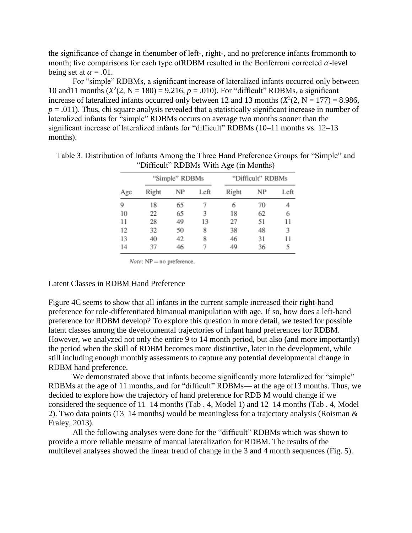the significance of change in thenumber of left-, right-, and no preference infants frommonth to month; five comparisons for each type of RDBM resulted in the Bonferroni corrected  $\alpha$ -level being set at  $\alpha = .01$ .

For "simple" RDBMs, a significant increase of lateralized infants occurred only between 10 and11 months  $(X^2(2, N = 180) = 9.216, p = .010)$ . For "difficult" RDBMs, a significant increase of lateralized infants occurred only between 12 and 13 months  $(X^2(2, N = 177) = 8.986,$  $p = .011$ ). Thus, chi square analysis revealed that a statistically significant increase in number of lateralized infants for "simple" RDBMs occurs on average two months sooner than the significant increase of lateralized infants for "difficult" RDBMs (10–11 months vs. 12–13 months).

|     |       | "Simple" RDBMs |      |       | "Difficult" RDBMs |      |  |
|-----|-------|----------------|------|-------|-------------------|------|--|
| Age | Right | NP             | Left | Right | NΡ                | Left |  |
| 9   | 18    | 65             |      | 6     | 70                |      |  |
| 10  | 22    | 65             | 3    | 18    | 62                | 6    |  |
| 11  | 28    | 49             | 13   | 27    | 51                | 11   |  |
| 12  | 32    | 50             | 8    | 38    | 48                | 3    |  |
| 13  | 40    | 42             | 8    | 46    | 31                |      |  |
| 14  | 37    | 46             |      | 49    | 36                |      |  |

Table 3. Distribution of Infants Among the Three Hand Preference Groups for "Simple" and "Difficult" RDBMs With Age (in Months)

*Note*:  $NP = no$  preference.

#### Latent Classes in RDBM Hand Preference

Figure 4C seems to show that all infants in the current sample increased their right-hand preference for role-differentiated bimanual manipulation with age. If so, how does a left-hand preference for RDBM develop? To explore this question in more detail, we tested for possible latent classes among the developmental trajectories of infant hand preferences for RDBM. However, we analyzed not only the entire 9 to 14 month period, but also (and more importantly) the period when the skill of RDBM becomes more distinctive, later in the development, while still including enough monthly assessments to capture any potential developmental change in RDBM hand preference.

We demonstrated above that infants become significantly more lateralized for "simple" RDBMs at the age of 11 months, and for "difficult" RDBMs— at the age of13 months. Thus, we decided to explore how the trajectory of hand preference for RDB M would change if we considered the sequence of 11–14 months (Tab . 4, Model 1) and 12–14 months (Tab . 4, Model 2). Two data points (13–14 months) would be meaningless for a trajectory analysis (Roisman & Fraley, 2013).

All the following analyses were done for the "difficult" RDBMs which was shown to provide a more reliable measure of manual lateralization for RDBM. The results of the multilevel analyses showed the linear trend of change in the 3 and 4 month sequences (Fig. 5).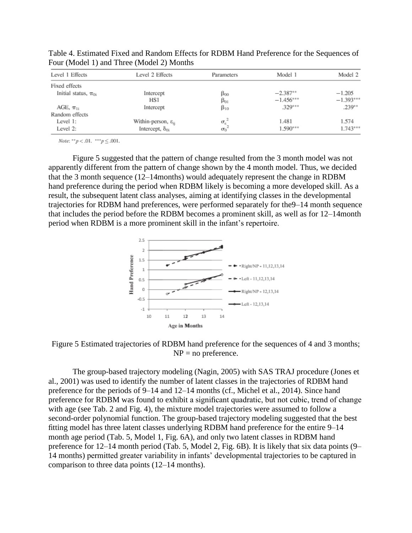| Level 1 Effects            | Level 2 Effects                   | Parameters                               | Model 1     | Model 2     |
|----------------------------|-----------------------------------|------------------------------------------|-------------|-------------|
| Fixed effects              |                                   |                                          |             |             |
| Initial status, $\pi_{0i}$ | Intercept                         | $\beta_{00}$                             | $-2.387**$  | $-1.205$    |
|                            | HS1                               | $\beta_{01}$                             | $-1.456***$ | $-1.393***$ |
| AGE, $\pi_{1i}$            | Intercept                         | $\beta_{10}$                             | $.329***$   | $.239**$    |
| Random effects             |                                   |                                          |             |             |
| Level 1:                   | Within-person, $\varepsilon_{ii}$ |                                          | 1.481       | 1.574       |
| Level 2:                   | Intercept, $\delta_{0i}$          | $\frac{\sigma_{\epsilon}^2}{\sigma_0^2}$ | $1.590***$  | $1.743***$  |

Table 4. Estimated Fixed and Random Effects for RDBM Hand Preference for the Sequences of Four (Model 1) and Three (Model 2) Months

Note: \*\*  $p < .01$ . \*\*\*  $p \le .001$ .

Figure 5 suggested that the pattern of change resulted from the 3 month model was not apparently different from the pattern of change shown by the 4 month model. Thus, we decided that the 3 month sequence (12–14months) would adequately represent the change in RDBM hand preference during the period when RDBM likely is becoming a more developed skill. As a result, the subsequent latent class analyses, aiming at identifying classes in the developmental trajectories for RDBM hand preferences, were performed separately for the9–14 month sequence that includes the period before the RDBM becomes a prominent skill, as well as for 12–14month period when RDBM is a more prominent skill in the infant's repertoire.



Figure 5 Estimated trajectories of RDBM hand preference for the sequences of 4 and 3 months;  $NP = no$  preference.

The group-based trajectory modeling (Nagin, 2005) with SAS TRAJ procedure (Jones et al., 2001) was used to identify the number of latent classes in the trajectories of RDBM hand preference for the periods of 9–14 and 12–14 months (cf., Michel et al., 2014). Since hand preference for RDBM was found to exhibit a significant quadratic, but not cubic, trend of change with age (see Tab. 2 and Fig. 4), the mixture model trajectories were assumed to follow a second-order polynomial function. The group-based trajectory modeling suggested that the best fitting model has three latent classes underlying RDBM hand preference for the entire 9–14 month age period (Tab. 5, Model 1, Fig. 6A), and only two latent classes in RDBM hand preference for 12–14 month period (Tab. 5, Model 2, Fig. 6B). It is likely that six data points (9– 14 months) permitted greater variability in infants' developmental trajectories to be captured in comparison to three data points (12–14 months).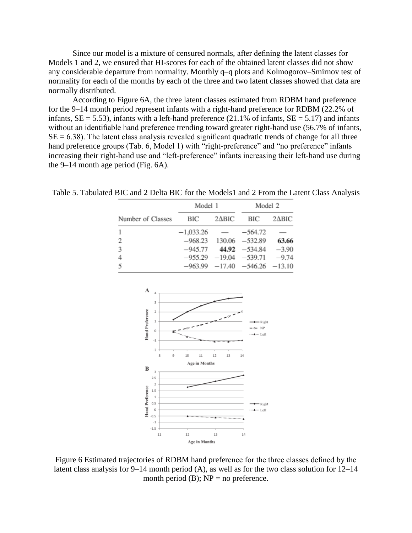Since our model is a mixture of censured normals, after defining the latent classes for Models 1 and 2, we ensured that HI-scores for each of the obtained latent classes did not show any considerable departure from normality. Monthly q–q plots and Kolmogorov–Smirnov test of normality for each of the months by each of the three and two latent classes showed that data are normally distributed.

According to Figure 6A, the three latent classes estimated from RDBM hand preference for the 9–14 month period represent infants with a right-hand preference for RDBM (22.2% of infants,  $SE = 5.53$ ), infants with a left-hand preference (21.1% of infants,  $SE = 5.17$ ) and infants without an identifiable hand preference trending toward greater right-hand use (56.7% of infants,  $SE = 6.38$ ). The latent class analysis revealed significant quadratic trends of change for all three hand preference groups (Tab. 6, Model 1) with "right-preference" and "no preference" infants increasing their right-hand use and "left-preference" infants increasing their left-hand use during the 9–14 month age period (Fig. 6A).

|                   | Model 1     |               | Model 2                               |       |  |
|-------------------|-------------|---------------|---------------------------------------|-------|--|
| Number of Classes | <b>BIC</b>  |               | $2\Delta BIC$ BIC $2\Delta BIC$       |       |  |
| 1                 | $-1,033.26$ | $\sim$ $\sim$ | $-564.72$                             |       |  |
| 2                 |             |               | $-968.23$ 130.06 $-532.89$            | 63.66 |  |
| 3                 |             |               | $-945.77$ 44.92 $-534.84$ $-3.90$     |       |  |
| 4                 |             |               | $-955.29$ $-19.04$ $-539.71$ $-9.74$  |       |  |
| 5                 |             |               | $-963.99$ $-17.40$ $-546.26$ $-13.10$ |       |  |
|                   |             |               |                                       |       |  |
|                   |             |               |                                       |       |  |

Table 5. Tabulated BIC and 2 Delta BIC for the Models1 and 2 From the Latent Class Analysis



Figure 6 Estimated trajectories of RDBM hand preference for the three classes defined by the latent class analysis for 9–14 month period (A), as well as for the two class solution for 12–14 month period (B);  $NP = no$  preference.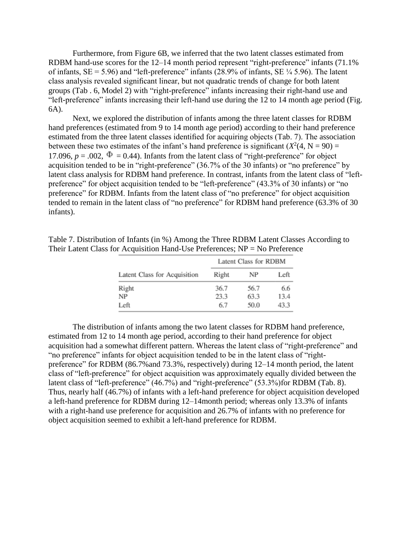Furthermore, from Figure 6B, we inferred that the two latent classes estimated from RDBM hand-use scores for the 12–14 month period represent "right-preference" infants (71.1%) of infants,  $SE = 5.96$ ) and "left-preference" infants (28.9% of infants,  $SE \frac{1}{4}$  5.96). The latent class analysis revealed significant linear, but not quadratic trends of change for both latent groups (Tab . 6, Model 2) with "right-preference" infants increasing their right-hand use and "left-preference" infants increasing their left-hand use during the 12 to 14 month age period (Fig. 6A).

Next, we explored the distribution of infants among the three latent classes for RDBM hand preferences (estimated from 9 to 14 month age period) according to their hand preference estimated from the three latent classes identified for acquiring objects (Tab. 7). The association between these two estimates of the infant's hand preference is significant  $(X^2(4, N = 90) =$ 17.096,  $p = .002$ ,  $\Phi = 0.44$ ). Infants from the latent class of "right-preference" for object acquisition tended to be in "right-preference" (36.7% of the 30 infants) or "no preference" by latent class analysis for RDBM hand preference. In contrast, infants from the latent class of "leftpreference" for object acquisition tended to be "left-preference" (43.3% of 30 infants) or "no preference" for RDBM. Infants from the latent class of "no preference" for object acquisition tended to remain in the latent class of "no preference" for RDBM hand preference (63.3% of 30 infants).

|                              |       | Latent Class for RDBM |      |  |  |
|------------------------------|-------|-----------------------|------|--|--|
| Latent Class for Acquisition | Right | NP                    | Left |  |  |
| Right                        | 36.7  | 56.7                  | 6.6  |  |  |
| NP                           | 23.3  | 63.3                  | 13.4 |  |  |
| Left                         | 6.7   | 50.0                  | 43.3 |  |  |

Table 7. Distribution of Infants (in %) Among the Three RDBM Latent Classes According to Their Latent Class for Acquisition Hand-Use Preferences;  $NP = No$  Preference

The distribution of infants among the two latent classes for RDBM hand preference, estimated from 12 to 14 month age period, according to their hand preference for object acquisition had a somewhat different pattern. Whereas the latent class of "right-preference" and "no preference" infants for object acquisition tended to be in the latent class of "rightpreference" for RDBM (86.7%and 73.3%, respectively) during 12–14 month period, the latent class of "left-preference" for object acquisition was approximately equally divided between the latent class of "left-preference" (46.7%) and "right-preference" (53.3%)for RDBM (Tab. 8). Thus, nearly half (46.7%) of infants with a left-hand preference for object acquisition developed a left-hand preference for RDBM during 12–14month period; whereas only 13.3% of infants with a right-hand use preference for acquisition and 26.7% of infants with no preference for object acquisition seemed to exhibit a left-hand preference for RDBM.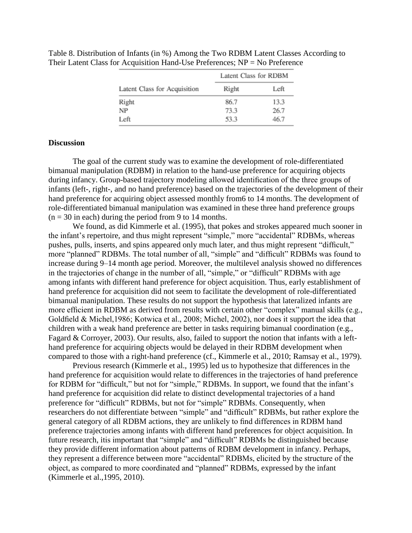|                              | Latent Class for RDBM |      |  |
|------------------------------|-----------------------|------|--|
| Latent Class for Acquisition | Right                 | Left |  |
| Right                        | 86.7                  | 13.3 |  |
| NP                           | 73.3                  | 26.7 |  |
| Left                         | 53.3                  | 46.7 |  |

Table 8. Distribution of Infants (in %) Among the Two RDBM Latent Classes According to Their Latent Class for Acquisition Hand-Use Preferences; NP = No Preference

#### **Discussion**

The goal of the current study was to examine the development of role-differentiated bimanual manipulation (RDBM) in relation to the hand-use preference for acquiring objects during infancy. Group-based trajectory modeling allowed identification of the three groups of infants (left-, right-, and no hand preference) based on the trajectories of the development of their hand preference for acquiring object assessed monthly from6 to 14 months. The development of role-differentiated bimanual manipulation was examined in these three hand preference groups  $(n = 30$  in each) during the period from 9 to 14 months.

We found, as did Kimmerle et al. (1995), that pokes and strokes appeared much sooner in the infant's repertoire, and thus might represent "simple," more "accidental" RDBMs, whereas pushes, pulls, inserts, and spins appeared only much later, and thus might represent "difficult," more "planned" RDBMs. The total number of all, "simple" and "difficult" RDBMs was found to increase during 9–14 month age period. Moreover, the multilevel analysis showed no differences in the trajectories of change in the number of all, "simple," or "difficult" RDBMs with age among infants with different hand preference for object acquisition. Thus, early establishment of hand preference for acquisition did not seem to facilitate the development of role-differentiated bimanual manipulation. These results do not support the hypothesis that lateralized infants are more efficient in RDBM as derived from results with certain other "complex" manual skills (e.g., Goldfield & Michel,1986; Kotwica et al., 2008; Michel, 2002), nor does it support the idea that children with a weak hand preference are better in tasks requiring bimanual coordination (e.g., Fagard & Corroyer, 2003). Our results, also, failed to support the notion that infants with a lefthand preference for acquiring objects would be delayed in their RDBM development when compared to those with a right-hand preference (cf., Kimmerle et al., 2010; Ramsay et al., 1979).

Previous research (Kimmerle et al., 1995) led us to hypothesize that differences in the hand preference for acquisition would relate to differences in the trajectories of hand preference for RDBM for "difficult," but not for "simple," RDBMs. In support, we found that the infant's hand preference for acquisition did relate to distinct developmental trajectories of a hand preference for "difficult" RDBMs, but not for "simple" RDBMs. Consequently, when researchers do not differentiate between "simple" and "difficult" RDBMs, but rather explore the general category of all RDBM actions, they are unlikely to find differences in RDBM hand preference trajectories among infants with different hand preferences for object acquisition. In future research, itis important that "simple" and "difficult" RDBMs be distinguished because they provide different information about patterns of RDBM development in infancy. Perhaps, they represent a difference between more "accidental" RDBMs, elicited by the structure of the object, as compared to more coordinated and "planned" RDBMs, expressed by the infant (Kimmerle et al.,1995, 2010).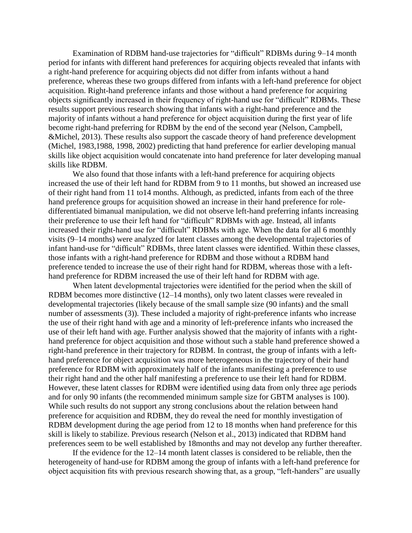Examination of RDBM hand-use trajectories for "difficult" RDBMs during 9–14 month period for infants with different hand preferences for acquiring objects revealed that infants with a right-hand preference for acquiring objects did not differ from infants without a hand preference, whereas these two groups differed from infants with a left-hand preference for object acquisition. Right-hand preference infants and those without a hand preference for acquiring objects significantly increased in their frequency of right-hand use for "difficult" RDBMs. These results support previous research showing that infants with a right-hand preference and the majority of infants without a hand preference for object acquisition during the first year of life become right-hand preferring for RDBM by the end of the second year (Nelson, Campbell, &Michel, 2013). These results also support the cascade theory of hand preference development (Michel, 1983,1988, 1998, 2002) predicting that hand preference for earlier developing manual skills like object acquisition would concatenate into hand preference for later developing manual skills like RDBM.

We also found that those infants with a left-hand preference for acquiring objects increased the use of their left hand for RDBM from 9 to 11 months, but showed an increased use of their right hand from 11 to14 months. Although, as predicted, infants from each of the three hand preference groups for acquisition showed an increase in their hand preference for roledifferentiated bimanual manipulation, we did not observe left-hand preferring infants increasing their preference to use their left hand for "difficult" RDBMs with age. Instead, all infants increased their right-hand use for "difficult" RDBMs with age. When the data for all 6 monthly visits (9–14 months) were analyzed for latent classes among the developmental trajectories of infant hand-use for "difficult" RDBMs, three latent classes were identified. Within these classes, those infants with a right-hand preference for RDBM and those without a RDBM hand preference tended to increase the use of their right hand for RDBM, whereas those with a lefthand preference for RDBM increased the use of their left hand for RDBM with age.

When latent developmental trajectories were identified for the period when the skill of RDBM becomes more distinctive (12–14 months), only two latent classes were revealed in developmental trajectories (likely because of the small sample size (90 infants) and the small number of assessments (3)). These included a majority of right-preference infants who increase the use of their right hand with age and a minority of left-preference infants who increased the use of their left hand with age. Further analysis showed that the majority of infants with a righthand preference for object acquisition and those without such a stable hand preference showed a right-hand preference in their trajectory for RDBM. In contrast, the group of infants with a lefthand preference for object acquisition was more heterogeneous in the trajectory of their hand preference for RDBM with approximately half of the infants manifesting a preference to use their right hand and the other half manifesting a preference to use their left hand for RDBM. However, these latent classes for RDBM were identified using data from only three age periods and for only 90 infants (the recommended minimum sample size for GBTM analyses is 100). While such results do not support any strong conclusions about the relation between hand preference for acquisition and RDBM, they do reveal the need for monthly investigation of RDBM development during the age period from 12 to 18 months when hand preference for this skill is likely to stabilize. Previous research (Nelson et al., 2013) indicated that RDBM hand preferences seem to be well established by 18months and may not develop any further thereafter.

If the evidence for the 12–14 month latent classes is considered to be reliable, then the heterogeneity of hand-use for RDBM among the group of infants with a left-hand preference for object acquisition fits with previous research showing that, as a group, "left-handers" are usually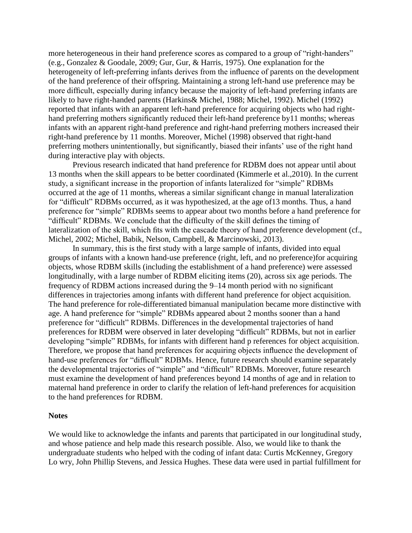more heterogeneous in their hand preference scores as compared to a group of "right-handers" (e.g., Gonzalez & Goodale, 2009; Gur, Gur, & Harris, 1975). One explanation for the heterogeneity of left-preferring infants derives from the influence of parents on the development of the hand preference of their offspring. Maintaining a strong left-hand use preference may be more difficult, especially during infancy because the majority of left-hand preferring infants are likely to have right-handed parents (Harkins& Michel, 1988; Michel, 1992). Michel (1992) reported that infants with an apparent left-hand preference for acquiring objects who had righthand preferring mothers significantly reduced their left-hand preference by11 months; whereas infants with an apparent right-hand preference and right-hand preferring mothers increased their right-hand preference by 11 months. Moreover, Michel (1998) observed that right-hand preferring mothers unintentionally, but significantly, biased their infants' use of the right hand during interactive play with objects.

Previous research indicated that hand preference for RDBM does not appear until about 13 months when the skill appears to be better coordinated (Kimmerle et al.,2010). In the current study, a significant increase in the proportion of infants lateralized for "simple" RDBMs occurred at the age of 11 months, whereas a similar significant change in manual lateralization for "difficult" RDBMs occurred, as it was hypothesized, at the age of13 months. Thus, a hand preference for "simple" RDBMs seems to appear about two months before a hand preference for "difficult" RDBMs. We conclude that the difficulty of the skill defines the timing of lateralization of the skill, which fits with the cascade theory of hand preference development (cf., Michel, 2002; Michel, Babik, Nelson, Campbell, & Marcinowski, 2013).

In summary, this is the first study with a large sample of infants, divided into equal groups of infants with a known hand-use preference (right, left, and no preference)for acquiring objects, whose RDBM skills (including the establishment of a hand preference) were assessed longitudinally, with a large number of RDBM eliciting items (20), across six age periods. The frequency of RDBM actions increased during the 9–14 month period with no significant differences in trajectories among infants with different hand preference for object acquisition. The hand preference for role-differentiated bimanual manipulation became more distinctive with age. A hand preference for "simple" RDBMs appeared about 2 months sooner than a hand preference for "difficult" RDBMs. Differences in the developmental trajectories of hand preferences for RDBM were observed in later developing "difficult" RDBMs, but not in earlier developing "simple" RDBMs, for infants with different hand p references for object acquisition. Therefore, we propose that hand preferences for acquiring objects influence the development of hand-use preferences for "difficult" RDBMs. Hence, future research should examine separately the developmental trajectories of "simple" and "difficult" RDBMs. Moreover, future research must examine the development of hand preferences beyond 14 months of age and in relation to maternal hand preference in order to clarify the relation of left-hand preferences for acquisition to the hand preferences for RDBM.

#### **Notes**

We would like to acknowledge the infants and parents that participated in our longitudinal study, and whose patience and help made this research possible. Also, we would like to thank the undergraduate students who helped with the coding of infant data: Curtis McKenney, Gregory Lo wry, John Phillip Stevens, and Jessica Hughes. These data were used in partial fulfillment for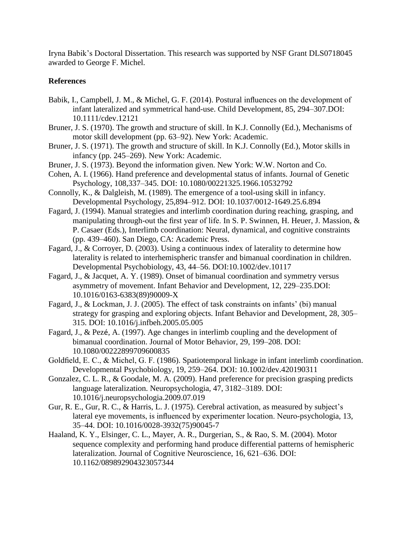Iryna Babik's Doctoral Dissertation. This research was supported by NSF Grant DLS0718045 awarded to George F. Michel.

## **References**

- Babik, I., Campbell, J. M., & Michel, G. F. (2014). Postural influences on the development of infant lateralized and symmetrical hand-use. Child Development, 85, 294–307.DOI: 10.1111/cdev.12121
- Bruner, J. S. (1970). The growth and structure of skill. In K.J. Connolly (Ed.), Mechanisms of motor skill development (pp. 63–92). New York: Academic.
- Bruner, J. S. (1971). The growth and structure of skill. In K.J. Connolly (Ed.), Motor skills in infancy (pp. 245–269). New York: Academic.
- Bruner, J. S. (1973). Beyond the information given. New York: W.W. Norton and Co.
- Cohen, A. I. (1966). Hand preference and developmental status of infants. Journal of Genetic Psychology, 108,337–345. DOI: 10.1080/00221325.1966.10532792
- Connolly, K., & Dalgleish, M. (1989). The emergence of a tool-using skill in infancy. Developmental Psychology, 25,894–912. DOI: 10.1037/0012-1649.25.6.894
- Fagard, J. (1994). Manual strategies and interlimb coordination during reaching, grasping, and manipulating through-out the first year of life. In S. P. Swinnen, H. Heuer, J. Massion, & P. Casaer (Eds.), Interlimb coordination: Neural, dynamical, and cognitive constraints (pp. 439–460). San Diego, CA: Academic Press.
- Fagard, J., & Corroyer, D. (2003). Using a continuous index of laterality to determine how laterality is related to interhemispheric transfer and bimanual coordination in children. Developmental Psychobiology, 43, 44–56. DOI:10.1002/dev.10117
- Fagard, J., & Jacquet, A. Y. (1989). Onset of bimanual coordination and symmetry versus asymmetry of movement. Infant Behavior and Development, 12, 229–235.DOI: 10.1016/0163-6383(89)90009-X
- Fagard, J., & Lockman, J. J. (2005). The effect of task constraints on infants' (bi) manual strategy for grasping and exploring objects. Infant Behavior and Development, 28, 305– 315. DOI: 10.1016/j.infbeh.2005.05.005
- Fagard, J., & Pezé, A. (1997). Age changes in interlimb coupling and the development of bimanual coordination. Journal of Motor Behavior, 29, 199–208. DOI: 10.1080/00222899709600835
- Goldfield, E. C., & Michel, G. F. (1986). Spatiotemporal linkage in infant interlimb coordination. Developmental Psychobiology, 19, 259–264. DOI: 10.1002/dev.420190311
- Gonzalez, C. L. R., & Goodale, M. A. (2009). Hand preference for precision grasping predicts language lateralization. Neuropsychologia, 47, 3182–3189. DOI: 10.1016/j.neuropsychologia.2009.07.019
- Gur, R. E., Gur, R. C., & Harris, L. J. (1975). Cerebral activation, as measured by subject's lateral eye movements, is influenced by experimenter location. Neuro-psychologia, 13, 35–44. DOI: 10.1016/0028-3932(75)90045-7
- Haaland, K. Y., Elsinger, C. L., Mayer, A. R., Durgerian, S., & Rao, S. M. (2004). Motor sequence complexity and performing hand produce differential patterns of hemispheric lateralization. Journal of Cognitive Neuroscience, 16, 621–636. DOI: 10.1162/089892904323057344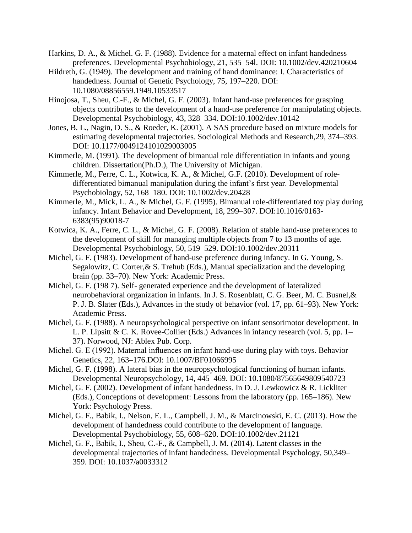- Harkins, D. A., & Michel. G. F. (1988). Evidence for a maternal effect on infant handedness preferences. Developmental Psychobiology, 21, 535–54l. DOI: 10.1002/dev.420210604
- Hildreth, G. (1949). The development and training of hand dominance: I. Characteristics of handedness. Journal of Genetic Psychology, 75, 197–220. DOI: 10.1080/08856559.1949.10533517
- Hinojosa, T., Sheu, C.-F., & Michel, G. F. (2003). Infant hand-use preferences for grasping objects contributes to the development of a hand-use preference for manipulating objects. Developmental Psychobiology, 43, 328–334. DOI:10.1002/dev.10142
- Jones, B. L., Nagin, D. S., & Roeder, K. (2001). A SAS procedure based on mixture models for estimating developmental trajectories. Sociological Methods and Research,29, 374–393. DOI: 10.1177/0049124101029003005
- Kimmerle, M. (1991). The development of bimanual role differentiation in infants and young children. Dissertation(Ph.D.), The University of Michigan.
- Kimmerle, M., Ferre, C. L., Kotwica, K. A., & Michel, G.F. (2010). Development of roledifferentiated bimanual manipulation during the infant's first year. Developmental Psychobiology, 52, 168–180. DOI: 10.1002/dev.20428
- Kimmerle, M., Mick, L. A., & Michel, G. F. (1995). Bimanual role-differentiated toy play during infancy. Infant Behavior and Development, 18, 299–307. DOI:10.1016/0163- 6383(95)90018-7
- Kotwica, K. A., Ferre, C. L., & Michel, G. F. (2008). Relation of stable hand-use preferences to the development of skill for managing multiple objects from 7 to 13 months of age. Developmental Psychobiology, 50, 519–529. DOI:10.1002/dev.20311
- Michel, G. F. (1983). Development of hand-use preference during infancy. In G. Young, S. Segalowitz, C. Corter,& S. Trehub (Eds.), Manual specialization and the developing brain (pp. 33–70). New York: Academic Press.
- Michel, G. F. (198 7). Self- generated experience and the development of lateralized neurobehavioral organization in infants. In J. S. Rosenblatt, C. G. Beer, M. C. Busnel,& P. J. B. Slater (Eds.), Advances in the study of behavior (vol. 17, pp. 61–93). New York: Academic Press.
- Michel, G. F. (1988). A neuropsychological perspective on infant sensorimotor development. In L. P. Lipsitt & C. K. Rovee-Collier (Eds.) Advances in infancy research (vol. 5, pp. 1– 37). Norwood, NJ: Ablex Pub. Corp.
- Michel. G. E (1992). Maternal influences on infant hand-use during play with toys. Behavior Genetics, 22, 163–176.DOI: 10.1007/BF01066995
- Michel, G. F. (1998). A lateral bias in the neuropsychological functioning of human infants. Developmental Neuropsychology, 14, 445–469. DOI: 10.1080/87565649809540723
- Michel, G. F. (2002). Development of infant handedness. In D. J. Lewkowicz & R. Lickliter (Eds.), Conceptions of development: Lessons from the laboratory (pp. 165–186). New York: Psychology Press.
- Michel, G. F., Babik, I., Nelson, E. L., Campbell, J. M., & Marcinowski, E. C. (2013). How the development of handedness could contribute to the development of language. Developmental Psychobiology, 55, 608–620. DOI:10.1002/dev.21121
- Michel, G. F., Babik, I., Sheu, C.-F., & Campbell, J. M. (2014). Latent classes in the developmental trajectories of infant handedness. Developmental Psychology, 50,349– 359. DOI: 10.1037/a0033312